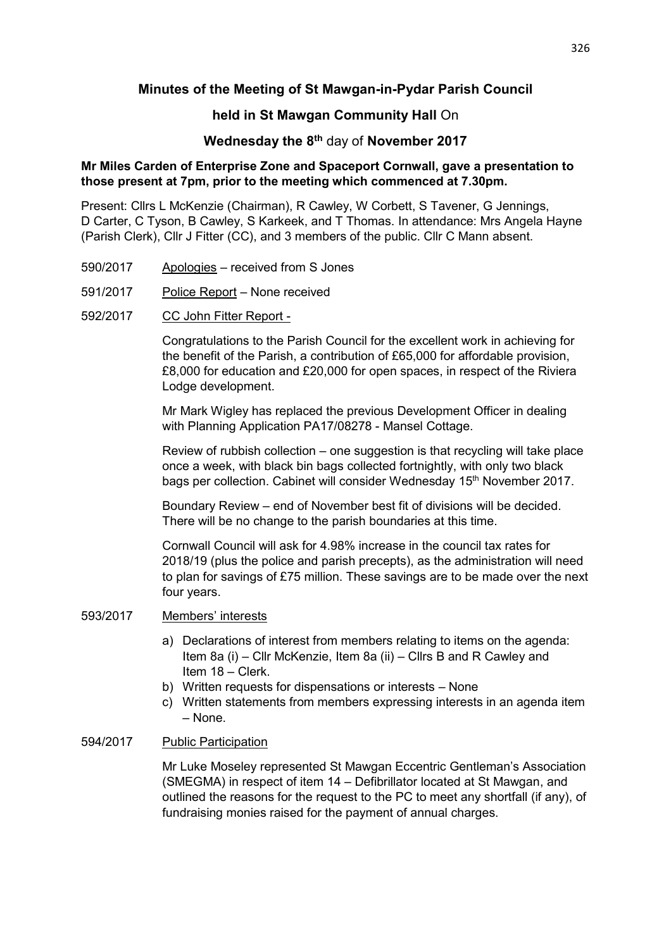# **Minutes of the Meeting of St Mawgan-in-Pydar Parish Council**

# **held in St Mawgan Community Hall** On

# **Wednesday the 8th** day of **November 2017**

### **Mr Miles Carden of Enterprise Zone and Spaceport Cornwall, gave a presentation to those present at 7pm, prior to the meeting which commenced at 7.30pm.**

Present: Cllrs L McKenzie (Chairman), R Cawley, W Corbett, S Tavener, G Jennings, D Carter, C Tyson, B Cawley, S Karkeek, and T Thomas. In attendance: Mrs Angela Hayne (Parish Clerk), Cllr J Fitter (CC), and 3 members of the public. Cllr C Mann absent.

- 590/2017 Apologies received from S Jones
- 591/2017 Police Report None received
- 592/2017 CC John Fitter Report -

 Congratulations to the Parish Council for the excellent work in achieving for the benefit of the Parish, a contribution of £65,000 for affordable provision, £8,000 for education and £20,000 for open spaces, in respect of the Riviera Lodge development.

 Mr Mark Wigley has replaced the previous Development Officer in dealing with Planning Application PA17/08278 - Mansel Cottage.

 Review of rubbish collection – one suggestion is that recycling will take place once a week, with black bin bags collected fortnightly, with only two black bags per collection. Cabinet will consider Wednesday 15<sup>th</sup> November 2017.

 Boundary Review – end of November best fit of divisions will be decided. There will be no change to the parish boundaries at this time.

 Cornwall Council will ask for 4.98% increase in the council tax rates for 2018/19 (plus the police and parish precepts), as the administration will need to plan for savings of £75 million. These savings are to be made over the next four years.

#### 593/2017 Members' interests

- a) Declarations of interest from members relating to items on the agenda: Item 8a (i) – Cllr McKenzie, Item 8a (ii) – Cllrs B and R Cawley and Item 18 – Clerk.
- b) Written requests for dispensations or interests None
- c) Written statements from members expressing interests in an agenda item – None.

### 594/2017 Public Participation

 Mr Luke Moseley represented St Mawgan Eccentric Gentleman's Association (SMEGMA) in respect of item 14 – Defibrillator located at St Mawgan, and outlined the reasons for the request to the PC to meet any shortfall (if any), of fundraising monies raised for the payment of annual charges.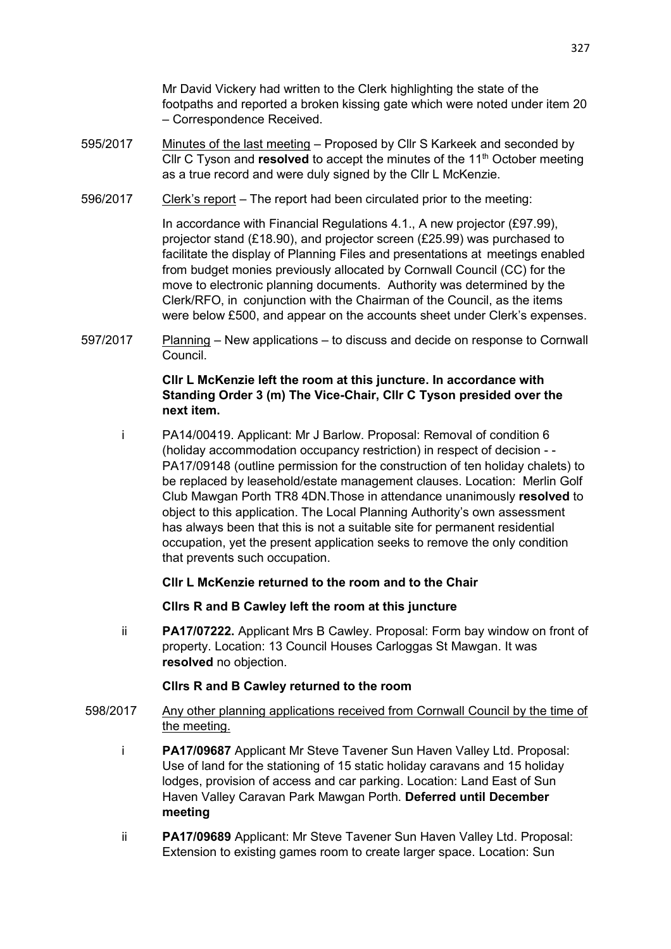Mr David Vickery had written to the Clerk highlighting the state of the footpaths and reported a broken kissing gate which were noted under item 20 – Correspondence Received.

- 595/2017 Minutes of the last meeting Proposed by Cllr S Karkeek and seconded by Cllr C Tyson and **resolved** to accept the minutes of the 11<sup>th</sup> October meeting as a true record and were duly signed by the Cllr L McKenzie.
- 596/2017 Clerk's report The report had been circulated prior to the meeting:

 In accordance with Financial Regulations 4.1., A new projector (£97.99), projector stand (£18.90), and projector screen (£25.99) was purchased to facilitate the display of Planning Files and presentations at meetings enabled from budget monies previously allocated by Cornwall Council (CC) for the move to electronic planning documents. Authority was determined by the Clerk/RFO, in conjunction with the Chairman of the Council, as the items were below £500, and appear on the accounts sheet under Clerk's expenses.

597/2017 Planning – New applications – to discuss and decide on response to Cornwall Council.

### **Cllr L McKenzie left the room at this juncture. In accordance with Standing Order 3 (m) The Vice-Chair, Cllr C Tyson presided over the next item.**

 i PA14/00419. Applicant: Mr J Barlow. Proposal: Removal of condition 6 (holiday accommodation occupancy restriction) in respect of decision - - PA17/09148 (outline permission for the construction of ten holiday chalets) to be replaced by leasehold/estate management clauses. Location: Merlin Golf Club Mawgan Porth TR8 4DN.Those in attendance unanimously **resolved** to object to this application. The Local Planning Authority's own assessment has always been that this is not a suitable site for permanent residential occupation, yet the present application seeks to remove the only condition that prevents such occupation.

### **Cllr L McKenzie returned to the room and to the Chair**

### **Cllrs R and B Cawley left the room at this juncture**

ii **PA17/07222.** Applicant Mrs B Cawley. Proposal: Form bay window on front of property. Location: 13 Council Houses Carloggas St Mawgan. It was **resolved** no objection.

### **Cllrs R and B Cawley returned to the room**

- 598/2017 Any other planning applications received from Cornwall Council by the time of the meeting.
	- i **PA17/09687** Applicant Mr Steve Tavener Sun Haven Valley Ltd. Proposal: Use of land for the stationing of 15 static holiday caravans and 15 holiday lodges, provision of access and car parking. Location: Land East of Sun Haven Valley Caravan Park Mawgan Porth. **Deferred until December meeting**
	- ii **PA17/09689** Applicant: Mr Steve Tavener Sun Haven Valley Ltd. Proposal: Extension to existing games room to create larger space. Location: Sun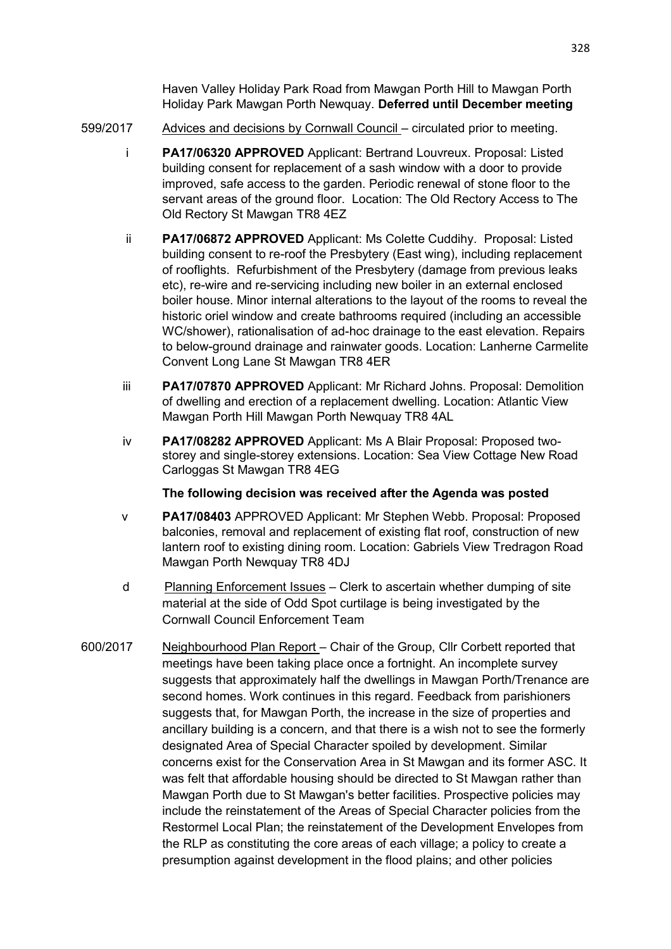Haven Valley Holiday Park Road from Mawgan Porth Hill to Mawgan Porth Holiday Park Mawgan Porth Newquay. **Deferred until December meeting**

- 599/2017 Advices and decisions by Cornwall Council circulated prior to meeting.
	- i **PA17/06320 APPROVED** Applicant: Bertrand Louvreux. Proposal: Listed building consent for replacement of a sash window with a door to provide improved, safe access to the garden. Periodic renewal of stone floor to the servant areas of the ground floor. Location: The Old Rectory Access to The Old Rectory St Mawgan TR8 4EZ
	- ii **PA17/06872 APPROVED** Applicant: Ms Colette Cuddihy. Proposal: Listed building consent to re-roof the Presbytery (East wing), including replacement of rooflights. Refurbishment of the Presbytery (damage from previous leaks etc), re-wire and re-servicing including new boiler in an external enclosed boiler house. Minor internal alterations to the layout of the rooms to reveal the historic oriel window and create bathrooms required (including an accessible WC/shower), rationalisation of ad-hoc drainage to the east elevation. Repairs to below-ground drainage and rainwater goods. Location: Lanherne Carmelite Convent Long Lane St Mawgan TR8 4ER
	- iii **PA17/07870 APPROVED** Applicant: Mr Richard Johns. Proposal: Demolition of dwelling and erection of a replacement dwelling. Location: Atlantic View Mawgan Porth Hill Mawgan Porth Newquay TR8 4AL
	- iv **PA17/08282 APPROVED** Applicant: Ms A Blair Proposal: Proposed two storey and single-storey extensions. Location: Sea View Cottage New Road Carloggas St Mawgan TR8 4EG

### **The following decision was received after the Agenda was posted**

- v **PA17/08403** APPROVED Applicant: Mr Stephen Webb. Proposal: Proposed balconies, removal and replacement of existing flat roof, construction of new lantern roof to existing dining room. Location: Gabriels View Tredragon Road Mawgan Porth Newquay TR8 4DJ
- d Planning Enforcement Issues Clerk to ascertain whether dumping of site material at the side of Odd Spot curtilage is being investigated by the Cornwall Council Enforcement Team
- 600/2017 Neighbourhood Plan Report Chair of the Group, Cllr Corbett reported that meetings have been taking place once a fortnight. An incomplete survey suggests that approximately half the dwellings in Mawgan Porth/Trenance are second homes. Work continues in this regard. Feedback from parishioners suggests that, for Mawgan Porth, the increase in the size of properties and ancillary building is a concern, and that there is a wish not to see the formerly designated Area of Special Character spoiled by development. Similar concerns exist for the Conservation Area in St Mawgan and its former ASC. It was felt that affordable housing should be directed to St Mawgan rather than Mawgan Porth due to St Mawgan's better facilities. Prospective policies may include the reinstatement of the Areas of Special Character policies from the Restormel Local Plan; the reinstatement of the Development Envelopes from the RLP as constituting the core areas of each village; a policy to create a presumption against development in the flood plains; and other policies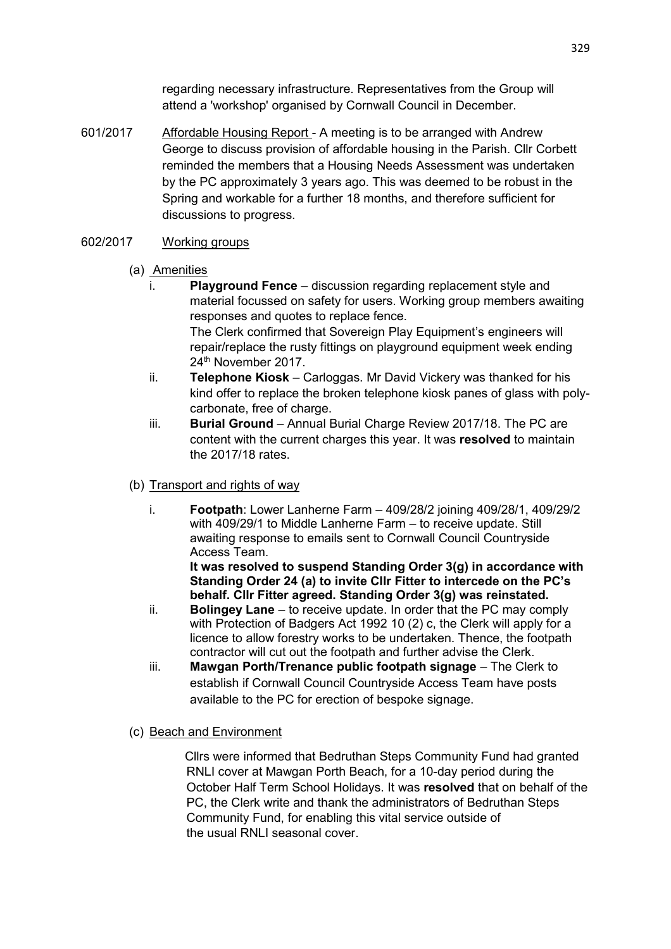regarding necessary infrastructure. Representatives from the Group will attend a 'workshop' organised by Cornwall Council in December.

601/2017 Affordable Housing Report - A meeting is to be arranged with Andrew George to discuss provision of affordable housing in the Parish. Cllr Corbett reminded the members that a Housing Needs Assessment was undertaken by the PC approximately 3 years ago. This was deemed to be robust in the Spring and workable for a further 18 months, and therefore sufficient for discussions to progress.

# 602/2017 Working groups

- (a) Amenities
	- **Playground Fence** discussion regarding replacement style and material focussed on safety for users. Working group members awaiting responses and quotes to replace fence. The Clerk confirmed that Sovereign Play Equipment's engineers will repair/replace the rusty fittings on playground equipment week ending 24<sup>th</sup> November 2017.
	- ii. **Telephone Kiosk** Carloggas. Mr David Vickery was thanked for his kind offer to replace the broken telephone kiosk panes of glass with polycarbonate, free of charge.
	- iii. **Burial Ground** Annual Burial Charge Review 2017/18. The PC are content with the current charges this year. It was **resolved** to maintain the 2017/18 rates.
- (b) Transport and rights of way
	- i. **Footpath**: Lower Lanherne Farm 409/28/2 joining 409/28/1, 409/29/2 with 409/29/1 to Middle Lanherne Farm – to receive update. Still awaiting response to emails sent to Cornwall Council Countryside Access Team.

**It was resolved to suspend Standing Order 3(g) in accordance with Standing Order 24 (a) to invite Cllr Fitter to intercede on the PC's behalf. Cllr Fitter agreed. Standing Order 3(g) was reinstated.** 

- ii. **Bolingey Lane** to receive update. In order that the PC may comply with Protection of Badgers Act 1992 10 (2) c, the Clerk will apply for a licence to allow forestry works to be undertaken. Thence, the footpath contractor will cut out the footpath and further advise the Clerk.
- iii. **Mawgan Porth/Trenance public footpath signage** The Clerk to establish if Cornwall Council Countryside Access Team have posts available to the PC for erection of bespoke signage.
- (c) Beach and Environment

 Cllrs were informed that Bedruthan Steps Community Fund had granted RNLI cover at Mawgan Porth Beach, for a 10-day period during the October Half Term School Holidays. It was **resolved** that on behalf of the PC, the Clerk write and thank the administrators of Bedruthan Steps Community Fund, for enabling this vital service outside of the usual RNLI seasonal cover.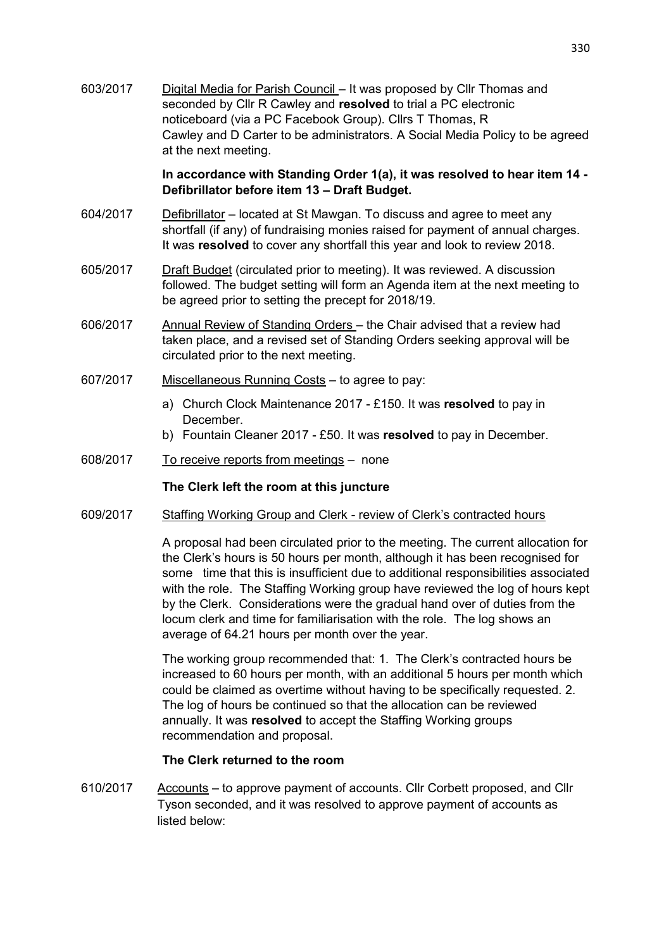603/2017 Digital Media for Parish Council – It was proposed by Cllr Thomas and seconded by Cllr R Cawley and **resolved** to trial a PC electronic noticeboard (via a PC Facebook Group). Cllrs T Thomas, R Cawley and D Carter to be administrators. A Social Media Policy to be agreed at the next meeting.

#### **In accordance with Standing Order 1(a), it was resolved to hear item 14 - Defibrillator before item 13 – Draft Budget.**

- 604/2017 Defibrillator located at St Mawgan. To discuss and agree to meet any shortfall (if any) of fundraising monies raised for payment of annual charges. It was **resolved** to cover any shortfall this year and look to review 2018.
- 605/2017 Draft Budget (circulated prior to meeting). It was reviewed. A discussion followed. The budget setting will form an Agenda item at the next meeting to be agreed prior to setting the precept for 2018/19.
- 606/2017 Annual Review of Standing Orders the Chair advised that a review had taken place, and a revised set of Standing Orders seeking approval will be circulated prior to the next meeting.
- 607/2017 Miscellaneous Running Costs to agree to pay:
	- a) Church Clock Maintenance 2017 £150. It was **resolved** to pay in December.
	- b) Fountain Cleaner 2017 £50. It was **resolved** to pay in December.
- 608/2017 To receive reports from meetings none

### **The Clerk left the room at this juncture**

609/2017 Staffing Working Group and Clerk - review of Clerk's contracted hours

A proposal had been circulated prior to the meeting. The current allocation for the Clerk's hours is 50 hours per month, although it has been recognised for some time that this is insufficient due to additional responsibilities associated with the role. The Staffing Working group have reviewed the log of hours kept by the Clerk. Considerations were the gradual hand over of duties from the locum clerk and time for familiarisation with the role. The log shows an average of 64.21 hours per month over the year.

 The working group recommended that: 1. The Clerk's contracted hours be increased to 60 hours per month, with an additional 5 hours per month which could be claimed as overtime without having to be specifically requested. 2. The log of hours be continued so that the allocation can be reviewed annually. It was **resolved** to accept the Staffing Working groups recommendation and proposal.

### **The Clerk returned to the room**

610/2017 Accounts – to approve payment of accounts. Cllr Corbett proposed, and Cllr Tyson seconded, and it was resolved to approve payment of accounts as listed below: